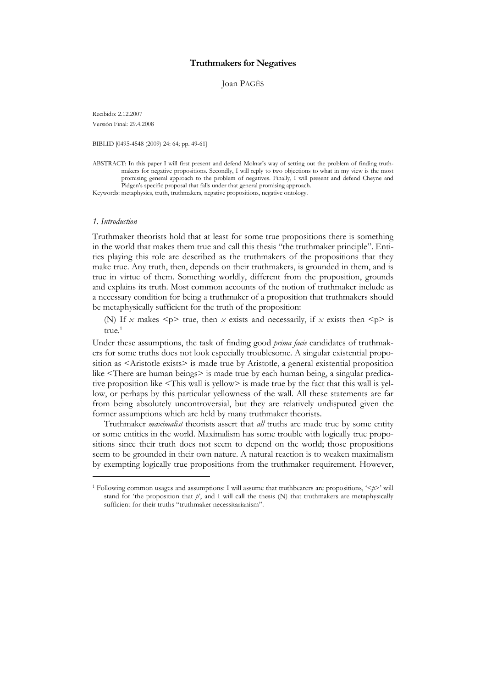# Truthmakers for Negatives

Joan PAGÈS

Recibido: 2.12.2007 Versión Final: 29.4.2008

BIBLID [0495-4548 (2009) 24: 64; pp. 49-61]

ABSTRACT: In this paper I will first present and defend Molnar's way of setting out the problem of finding truthmakers for negative propositions. Secondly, I will reply to two objections to what in my view is the most promising general approach to the problem of negatives. Finally, I will present and defend Cheyne and Pidgen's specific proposal that falls under that general promising approach.

Keywords: metaphysics, truth, truthmakers, negative propositions, negative ontology.

### 1. Introduction

Truthmaker theorists hold that at least for some true propositions there is something in the world that makes them true and call this thesis "the truthmaker principle". Entities playing this role are described as the truthmakers of the propositions that they make true. Any truth, then, depends on their truthmakers, is grounded in them, and is true in virtue of them. Something worldly, different from the proposition, grounds and explains its truth. Most common accounts of the notion of truthmaker include as a necessary condition for being a truthmaker of a proposition that truthmakers should be metaphysically sufficient for the truth of the proposition:

(N) If x makes  $\leq p$  true, then x exists and necessarily, if x exists then  $\leq p$  is true.<sup>1</sup>

Under these assumptions, the task of finding good *prima facie* candidates of truthmakers for some truths does not look especially troublesome. A singular existential proposition as <Aristotle exists> is made true by Aristotle, a general existential proposition like <There are human beings> is made true by each human being, a singular predicative proposition like <This wall is yellow> is made true by the fact that this wall is yellow, or perhaps by this particular yellowness of the wall. All these statements are far from being absolutely uncontroversial, but they are relatively undisputed given the former assumptions which are held by many truthmaker theorists.

Truthmaker *maximalist* theorists assert that *all* truths are made true by some entity or some entities in the world. Maximalism has some trouble with logically true propositions since their truth does not seem to depend on the world; those propositions seem to be grounded in their own nature. A natural reaction is to weaken maximalism by exempting logically true propositions from the truthmaker requirement. However,

<sup>&</sup>lt;sup>1</sup> Following common usages and assumptions: I will assume that truthbearers are propositions, ' $\leq p$ ' will stand for 'the proposition that  $p'$ , and I will call the thesis (N) that truthmakers are metaphysically sufficient for their truths "truthmaker necessitarianism".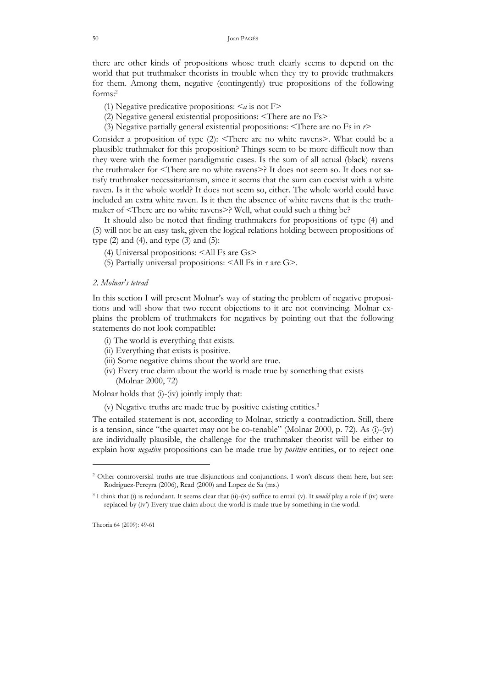there are other kinds of propositions whose truth clearly seems to depend on the world that put truthmaker theorists in trouble when they try to provide truthmakers for them. Among them, negative (contingently) true propositions of the following forms:<sup>2</sup>

- (1) Negative predicative propositions:  $\leq a$  is not F>
- (2) Negative general existential propositions: <There are no Fs>
- (3) Negative partially general existential propositions:  $\leq$  There are no Fs in  $r$ >

Consider a proposition of type (2): <There are no white ravens>. What could be a plausible truthmaker for this proposition? Things seem to be more difficult now than they were with the former paradigmatic cases. Is the sum of all actual (black) ravens the truthmaker for <There are no white ravens>? It does not seem so. It does not satisfy truthmaker necessitarianism, since it seems that the sum can coexist with a white raven. Is it the whole world? It does not seem so, either. The whole world could have included an extra white raven. Is it then the absence of white ravens that is the truthmaker of <There are no white ravens>? Well, what could such a thing be?

 It should also be noted that finding truthmakers for propositions of type (4) and (5) will not be an easy task, given the logical relations holding between propositions of type  $(2)$  and  $(4)$ , and type  $(3)$  and  $(5)$ :

- (4) Universal propositions: <All Fs are Gs>
- (5) Partially universal propositions: <All Fs in r are G>.
- 2. Molnar's tetrad

In this section I will present Molnar's way of stating the problem of negative propositions and will show that two recent objections to it are not convincing. Molnar explains the problem of truthmakers for negatives by pointing out that the following statements do not look compatible:

- (i) The world is everything that exists.
- (ii) Everything that exists is positive.
- (iii) Some negative claims about the world are true.
- (iv) Every true claim about the world is made true by something that exists (Molnar 2000, 72)

Molnar holds that (i)-(iv) jointly imply that:

(v) Negative truths are made true by positive existing entities.<sup>3</sup>

The entailed statement is not, according to Molnar, strictly a contradiction. Still, there is a tension, since "the quartet may not be co-tenable" (Molnar 2000, p. 72). As (i)-(iv) are individually plausible, the challenge for the truthmaker theorist will be either to explain how *negative* propositions can be made true by *positive* entities, or to reject one

-

<sup>&</sup>lt;sup>2</sup> Other controversial truths are true disjunctions and conjunctions. I won't discuss them here, but see: Rodriguez-Pereyra (2006), Read (2000) and Lopez de Sa (ms.)

 $3$  I think that (i) is redundant. It seems clear that (ii)-(iv) suffice to entail (v). It *would* play a role if (iv) were replaced by (iv') Every true claim about the world is made true by something in the world.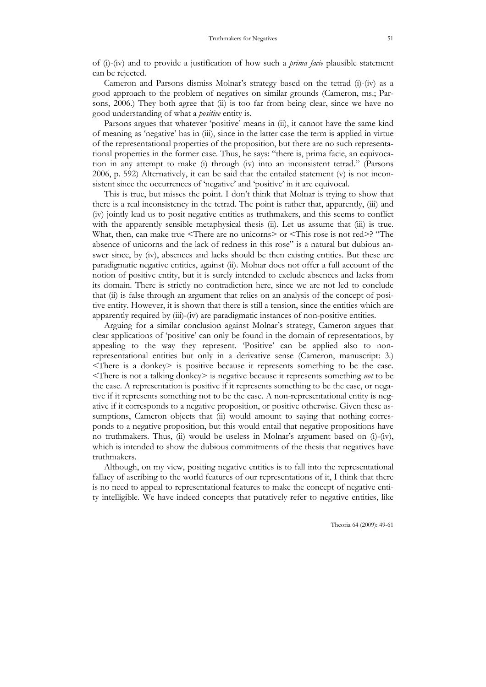of (i)-(iv) and to provide a justification of how such a prima facie plausible statement can be rejected.

 Cameron and Parsons dismiss Molnar's strategy based on the tetrad (i)-(iv) as a good approach to the problem of negatives on similar grounds (Cameron, ms.; Parsons, 2006.) They both agree that (ii) is too far from being clear, since we have no good understanding of what a *positive* entity is.

 Parsons argues that whatever 'positive' means in (ii), it cannot have the same kind of meaning as 'negative' has in (iii), since in the latter case the term is applied in virtue of the representational properties of the proposition, but there are no such representational properties in the former case. Thus, he says: "there is, prima facie, an equivocation in any attempt to make (i) through (iv) into an inconsistent tetrad." (Parsons 2006, p. 592) Alternatively, it can be said that the entailed statement (v) is not inconsistent since the occurrences of 'negative' and 'positive' in it are equivocal.

 This is true, but misses the point. I don't think that Molnar is trying to show that there is a real inconsistency in the tetrad. The point is rather that, apparently, (iii) and (iv) jointly lead us to posit negative entities as truthmakers, and this seems to conflict with the apparently sensible metaphysical thesis (ii). Let us assume that (iii) is true. What, then, can make true <There are no unicorns> or <This rose is not red>? "The absence of unicorns and the lack of redness in this rose" is a natural but dubious answer since, by (iv), absences and lacks should be then existing entities. But these are paradigmatic negative entities, against (ii). Molnar does not offer a full account of the notion of positive entity, but it is surely intended to exclude absences and lacks from its domain. There is strictly no contradiction here, since we are not led to conclude that (ii) is false through an argument that relies on an analysis of the concept of positive entity. However, it is shown that there is still a tension, since the entities which are apparently required by (iii)-(iv) are paradigmatic instances of non-positive entities.

 Arguing for a similar conclusion against Molnar's strategy, Cameron argues that clear applications of 'positive' can only be found in the domain of representations, by appealing to the way they represent. 'Positive' can be applied also to nonrepresentational entities but only in a derivative sense (Cameron, manuscript: 3.)  $\leq$ There is a donkey $\geq$  is positive because it represents something to be the case.  $\leq$ There is not a talking donkey> is negative because it represents something *not* to be the case. A representation is positive if it represents something to be the case, or negative if it represents something not to be the case. A non-representational entity is negative if it corresponds to a negative proposition, or positive otherwise. Given these assumptions, Cameron objects that (ii) would amount to saying that nothing corresponds to a negative proposition, but this would entail that negative propositions have no truthmakers. Thus, (ii) would be useless in Molnar's argument based on (i)-(iv), which is intended to show the dubious commitments of the thesis that negatives have truthmakers.

 Although, on my view, positing negative entities is to fall into the representational fallacy of ascribing to the world features of our representations of it, I think that there is no need to appeal to representational features to make the concept of negative entity intelligible. We have indeed concepts that putatively refer to negative entities, like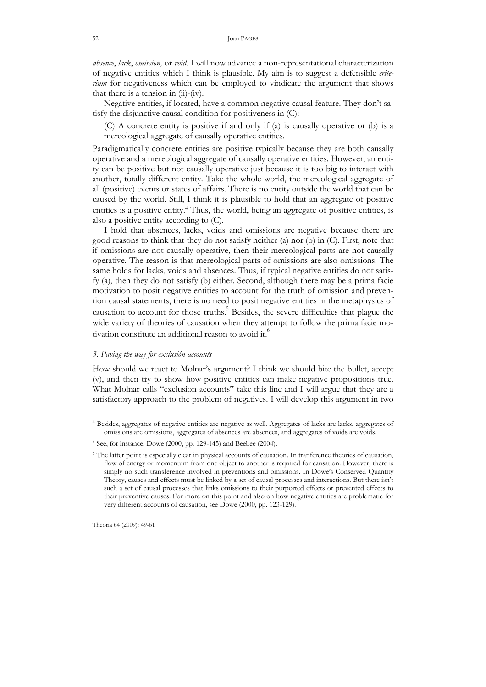absence, lack, omission, or void. I will now advance a non-representational characterization of negative entities which I think is plausible. My aim is to suggest a defensible criterium for negativeness which can be employed to vindicate the argument that shows that there is a tension in (ii)-(iv).

 Negative entities, if located, have a common negative causal feature. They don't satisfy the disjunctive causal condition for positiveness in (C):

(C) A concrete entity is positive if and only if (a) is causally operative or (b) is a mereological aggregate of causally operative entities.

Paradigmatically concrete entities are positive typically because they are both causally operative and a mereological aggregate of causally operative entities. However, an entity can be positive but not causally operative just because it is too big to interact with another, totally different entity. Take the whole world, the mereological aggregate of all (positive) events or states of affairs. There is no entity outside the world that can be caused by the world. Still, I think it is plausible to hold that an aggregate of positive entities is a positive entity.<sup>4</sup> Thus, the world, being an aggregate of positive entities, is also a positive entity according to (C).

 I hold that absences, lacks, voids and omissions are negative because there are good reasons to think that they do not satisfy neither (a) nor (b) in (C). First, note that if omissions are not causally operative, then their mereological parts are not causally operative. The reason is that mereological parts of omissions are also omissions. The same holds for lacks, voids and absences. Thus, if typical negative entities do not satisfy (a), then they do not satisfy (b) either. Second, although there may be a prima facie motivation to posit negative entities to account for the truth of omission and prevention causal statements, there is no need to posit negative entities in the metaphysics of causation to account for those truths.<sup>5</sup> Besides, the severe difficulties that plague the wide variety of theories of causation when they attempt to follow the prima facie motivation constitute an additional reason to avoid it.<sup>6</sup>

### 3. Paving the way for exclusión accounts

How should we react to Molnar's argument? I think we should bite the bullet, accept (v), and then try to show how positive entities can make negative propositions true. What Molnar calls "exclusion accounts" take this line and I will argue that they are a satisfactory approach to the problem of negatives. I will develop this argument in two

Theoria 64 (2009): 49-61

<sup>4</sup> Besides, aggregates of negative entities are negative as well. Aggregates of lacks are lacks, aggregates of omissions are omissions, aggregates of absences are absences, and aggregates of voids are voids.

<sup>5</sup> See, for instance, Dowe (2000, pp. 129-145) and Beebee (2004).

<sup>6</sup> The latter point is especially clear in physical accounts of causation. In tranference theories of causation, flow of energy or momentum from one object to another is required for causation. However, there is simply no such transference involved in preventions and omissions. In Dowe's Conserved Quantity Theory, causes and effects must be linked by a set of causal processes and interactions. But there isn't such a set of causal processes that links omissions to their purported effects or prevented effects to their preventive causes. For more on this point and also on how negative entities are problematic for very different accounts of causation, see Dowe (2000, pp. 123-129).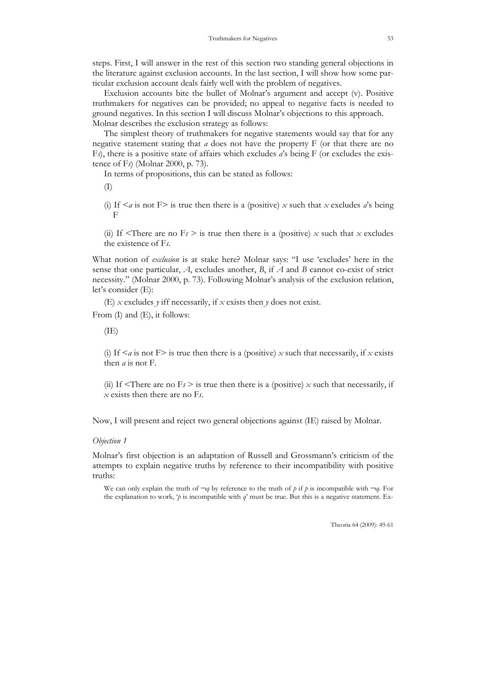steps. First, I will answer in the rest of this section two standing general objections in the literature against exclusion accounts. In the last section, I will show how some particular exclusion account deals fairly well with the problem of negatives.

 Exclusion accounts bite the bullet of Molnar's argument and accept (v). Positive truthmakers for negatives can be provided; no appeal to negative facts is needed to ground negatives. In this section I will discuss Molnar's objections to this approach. Molnar describes the exclusion strategy as follows:

 The simplest theory of truthmakers for negative statements would say that for any negative statement stating that a does not have the property  $F$  (or that there are no Fs), there is a positive state of affairs which excludes  $a$ 's being F (or excludes the existence of Fs) (Molnar 2000, p. 73).

In terms of propositions, this can be stated as follows:

(I)

(i) If  $\leq a$  is not F is true then there is a (positive) x such that x excludes a's being F

(ii) If  $\leq$ There are no Fs  $>$  is true then there is a (positive) x such that x excludes the existence of Fs.

What notion of *exclusion* is at stake here? Molnar says: "I use 'excludes' here in the sense that one particular,  $A$ , excludes another,  $B$ , if  $A$  and  $B$  cannot co-exist of strict necessity." (Molnar 2000, p. 73). Following Molnar's analysis of the exclusion relation, let's consider (E):

(E) x excludes y iff necessarily, if x exists then y does not exist.

From (I) and (E), it follows:

 $(IE)$ 

(i) If  $\leq a$  is not F $>$  is true then there is a (positive) x such that necessarily, if x exists then a is not F.

(ii) If  $\leq$ There are no F<sub>s</sub>  $>$  is true then there is a (positive) x such that necessarily, if  $x$  exists then there are no Fs.

Now, I will present and reject two general objections against (IE) raised by Molnar.

### Objection 1

Molnar's first objection is an adaptation of Russell and Grossmann's criticism of the attempts to explain negative truths by reference to their incompatibility with positive truths:

We can only explain the truth of  $\neg q$  by reference to the truth of p if p is incompatible with  $\neg q$ . For the explanation to work,  $\beta$  is incompatible with  $q'$  must be true. But this is a negative statement. Ex-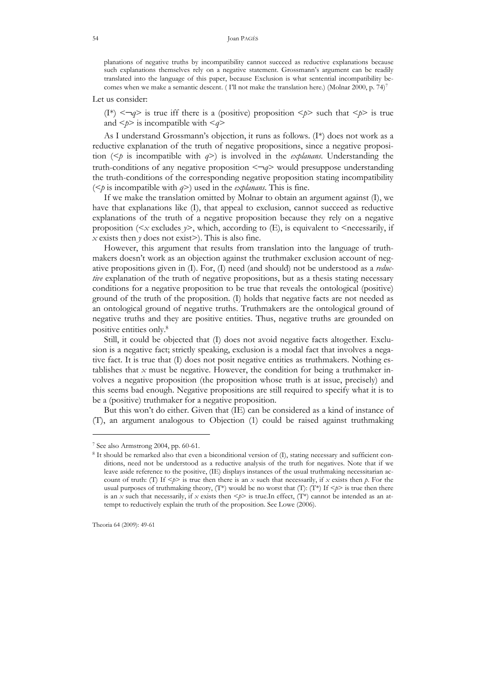#### Joan PAGÉS

planations of negative truths by incompatibility cannot succeed as reductive explanations because such explanations themselves rely on a negative statement. Grossmann's argument can be readily translated into the language of this paper, because Exclusion is what sentential incompatibility becomes when we make a semantic descent. (I'll not make the translation here.) (Molnar 2000, p. 74)<sup>7</sup>

Let us consider:

(I<sup>\*</sup>)  $\langle \neg q \rangle$  is true iff there is a (positive) proposition  $\langle p \rangle$  such that  $\langle p \rangle$  is true and  $\leq p$  is incompatible with  $\leq q$ 

 As I understand Grossmann's objection, it runs as follows. (I\*) does not work as a reductive explanation of the truth of negative propositions, since a negative proposition ( $\leq p$  is incompatible with  $q$ ) is involved in the *explanans*. Understanding the truth-conditions of any negative proposition  $\langle \neg q \rangle$  would presuppose understanding the truth-conditions of the corresponding negative proposition stating incompatibility ( $\leq p$  is incompatible with  $q$ ) used in the *explanans*. This is fine.

 If we make the translation omitted by Molnar to obtain an argument against (I), we have that explanations like (I), that appeal to exclusion, cannot succeed as reductive explanations of the truth of a negative proposition because they rely on a negative proposition ( $\lt x$  excludes  $y$ ), which, according to (E), is equivalent to  $\lt$ necessarily, if  $x$  exists then  $y$  does not exist>). This is also fine.

 However, this argument that results from translation into the language of truthmakers doesn't work as an objection against the truthmaker exclusion account of negative propositions given in  $(I)$ . For,  $(I)$  need (and should) not be understood as a *reduc*tive explanation of the truth of negative propositions, but as a thesis stating necessary conditions for a negative proposition to be true that reveals the ontological (positive) ground of the truth of the proposition. (I) holds that negative facts are not needed as an ontological ground of negative truths. Truthmakers are the ontological ground of negative truths and they are positive entities. Thus, negative truths are grounded on positive entities only.<sup>8</sup>

 Still, it could be objected that (I) does not avoid negative facts altogether. Exclusion is a negative fact; strictly speaking, exclusion is a modal fact that involves a negative fact. It is true that (I) does not posit negative entities as truthmakers. Nothing establishes that  $x$  must be negative. However, the condition for being a truthmaker involves a negative proposition (the proposition whose truth is at issue, precisely) and this seems bad enough. Negative propositions are still required to specify what it is to be a (positive) truthmaker for a negative proposition.

 But this won't do either. Given that (IE) can be considered as a kind of instance of (T), an argument analogous to Objection (1) could be raised against truthmaking

-

54

<sup>7</sup> See also Armstrong 2004, pp. 60-61.

<sup>&</sup>lt;sup>8</sup> It should be remarked also that even a biconditional version of (I), stating necessary and sufficient conditions, need not be understood as a reductive analysis of the truth for negatives. Note that if we leave aside reference to the positive, (IE) displays instances of the usual truthmaking necessitarian account of truth: (I) If  $\langle p \rangle$  is true then there is an x such that necessarily, if x exists then p. For the usual purposes of truthmaking theory,  $(T^*)$  would be no worst that  $(T)$ :  $(T^*)$  If  $\leq p$  is true then there is an x such that necessarily, if x exists then  $\leq p \geq$  is true.In effect, (T\*) cannot be intended as an attempt to reductively explain the truth of the proposition. See Lowe (2006).

Theoria 64 (2009): 49-61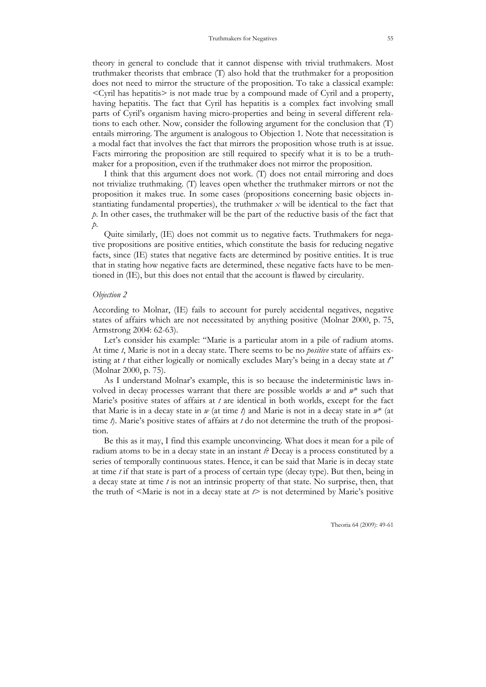theory in general to conclude that it cannot dispense with trivial truthmakers. Most truthmaker theorists that embrace (T) also hold that the truthmaker for a proposition does not need to mirror the structure of the proposition. To take a classical example:  $\leq$ Cyril has hepatitis $>$  is not made true by a compound made of Cyril and a property, having hepatitis. The fact that Cyril has hepatitis is a complex fact involving small parts of Cyril's organism having micro-properties and being in several different relations to each other. Now, consider the following argument for the conclusion that (T) entails mirroring. The argument is analogous to Objection 1. Note that necessitation is a modal fact that involves the fact that mirrors the proposition whose truth is at issue. Facts mirroring the proposition are still required to specify what it is to be a truthmaker for a proposition, even if the truthmaker does not mirror the proposition.

 I think that this argument does not work. (T) does not entail mirroring and does not trivialize truthmaking. (T) leaves open whether the truthmaker mirrors or not the proposition it makes true. In some cases (propositions concerning basic objects instantiating fundamental properties), the truthmaker  $x$  will be identical to the fact that p. In other cases, the truthmaker will be the part of the reductive basis of the fact that  $p$ .

 Quite similarly, (IE) does not commit us to negative facts. Truthmakers for negative propositions are positive entities, which constitute the basis for reducing negative facts, since (IE) states that negative facts are determined by positive entities. It is true that in stating how negative facts are determined, these negative facts have to be mentioned in (IE), but this does not entail that the account is flawed by circularity.

### Objection 2

According to Molnar, (IE) fails to account for purely accidental negatives, negative states of affairs which are not necessitated by anything positive (Molnar 2000, p. 75, Armstrong 2004: 62-63).

 Let's consider his example: "Marie is a particular atom in a pile of radium atoms. At time  $t$ , Marie is not in a decay state. There seems to be no *positive* state of affairs existing at t that either logically or nomically excludes Mary's being in a decay state at  $t$ " (Molnar 2000, p. 75).

 As I understand Molnar's example, this is so because the indeterministic laws involved in decay processes warrant that there are possible worlds  $w$  and  $w^*$  such that Marie's positive states of affairs at  $t$  are identical in both worlds, except for the fact that Marie is in a decay state in  $w$  (at time t) and Marie is not in a decay state in  $w^*$  (at time  $\hat{\ell}$ ). Marie's positive states of affairs at t do not determine the truth of the proposition.

 Be this as it may, I find this example unconvincing. What does it mean for a pile of radium atoms to be in a decay state in an instant  $t$ ? Decay is a process constituted by a series of temporally continuous states. Hence, it can be said that Marie is in decay state at time t if that state is part of a process of certain type (decay type). But then, being in a decay state at time  $t$  is not an intrinsic property of that state. No surprise, then, that the truth of  $\leq$ Marie is not in a decay state at  $\geq$  is not determined by Marie's positive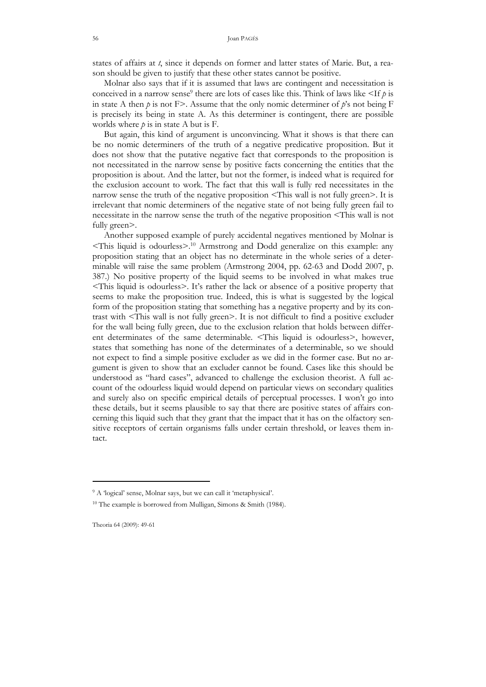states of affairs at t, since it depends on former and latter states of Marie. But, a reason should be given to justify that these other states cannot be positive.

 Molnar also says that if it is assumed that laws are contingent and necessitation is conceived in a narrow sense<sup>9</sup> there are lots of cases like this. Think of laws like  $\leq$  If  $p$  is in state A then  $p$  is not F>. Assume that the only nomic determiner of  $p$ 's not being F is precisely its being in state A. As this determiner is contingent, there are possible worlds where  $p$  is in state A but is F.

 But again, this kind of argument is unconvincing. What it shows is that there can be no nomic determiners of the truth of a negative predicative proposition. But it does not show that the putative negative fact that corresponds to the proposition is not necessitated in the narrow sense by positive facts concerning the entities that the proposition is about. And the latter, but not the former, is indeed what is required for the exclusion account to work. The fact that this wall is fully red necessitates in the narrow sense the truth of the negative proposition <This wall is not fully green>. It is irrelevant that nomic determiners of the negative state of not being fully green fail to necessitate in the narrow sense the truth of the negative proposition <This wall is not fully green>.

 Another supposed example of purely accidental negatives mentioned by Molnar is  $\le$ This liquid is odourless $\ge$ <sup>10</sup> Armstrong and Dodd generalize on this example: any proposition stating that an object has no determinate in the whole series of a determinable will raise the same problem (Armstrong 2004, pp. 62-63 and Dodd 2007, p. 387.) No positive property of the liquid seems to be involved in what makes true <This liquid is odourless>. It's rather the lack or absence of a positive property that seems to make the proposition true. Indeed, this is what is suggested by the logical form of the proposition stating that something has a negative property and by its contrast with <This wall is not fully green>. It is not difficult to find a positive excluder for the wall being fully green, due to the exclusion relation that holds between different determinates of the same determinable. <This liquid is odourless>, however, states that something has none of the determinates of a determinable, so we should not expect to find a simple positive excluder as we did in the former case. But no argument is given to show that an excluder cannot be found. Cases like this should be understood as "hard cases", advanced to challenge the exclusion theorist. A full account of the odourless liquid would depend on particular views on secondary qualities and surely also on specific empirical details of perceptual processes. I won't go into these details, but it seems plausible to say that there are positive states of affairs concerning this liquid such that they grant that the impact that it has on the olfactory sensitive receptors of certain organisms falls under certain threshold, or leaves them intact.

-

<sup>&</sup>lt;sup>9</sup> A 'logical' sense, Molnar says, but we can call it 'metaphysical'.

<sup>&</sup>lt;sup>10</sup> The example is borrowed from Mulligan, Simons & Smith (1984).

Theoria 64 (2009): 49-61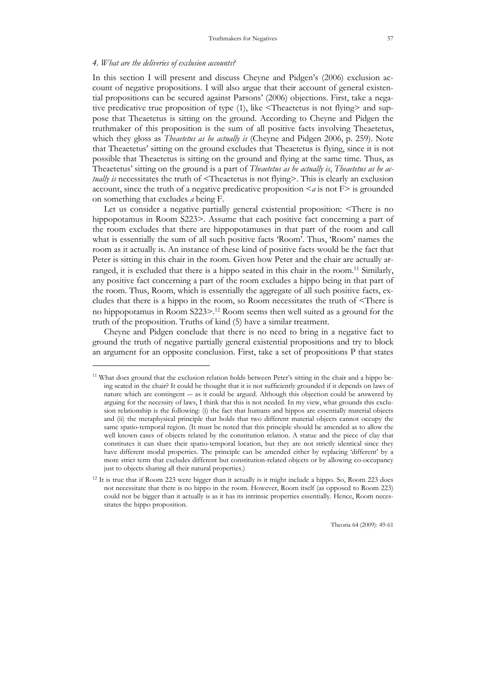### 4. What are the deliveries of exclusion accounts?

-

In this section I will present and discuss Cheyne and Pidgen's (2006) exclusion account of negative propositions. I will also argue that their account of general existential propositions can be secured against Parsons' (2006) objections. First, take a negative predicative true proposition of type (1), like <Theaetetus is not flying> and suppose that Theaetetus is sitting on the ground. According to Cheyne and Pidgen the truthmaker of this proposition is the sum of all positive facts involving Theaetetus, which they gloss as *Theaetetus as he actually is* (Cheyne and Pidgen 2006, p. 259). Note that Theaetetus' sitting on the ground excludes that Theaetetus is flying, since it is not possible that Theaetetus is sitting on the ground and flying at the same time. Thus, as Theaetetus' sitting on the ground is a part of *Theaetetus as he actually is*, *Theaetetus as he ac*tually is necessitates the truth of  $\leq$ Theaetetus is not flying $\geq$ . This is clearly an exclusion account, since the truth of a negative predicative proposition  $\le a$  is not F $>$  is grounded on something that excludes a being F.

 Let us consider a negative partially general existential proposition: <There is no hippopotamus in Room S223>. Assume that each positive fact concerning a part of the room excludes that there are hippopotamuses in that part of the room and call what is essentially the sum of all such positive facts 'Room'. Thus, 'Room' names the room as it actually is. An instance of these kind of positive facts would be the fact that Peter is sitting in this chair in the room. Given how Peter and the chair are actually arranged, it is excluded that there is a hippo seated in this chair in the room.<sup>11</sup> Similarly, any positive fact concerning a part of the room excludes a hippo being in that part of the room. Thus, Room, which is essentially the aggregate of all such positive facts, excludes that there is a hippo in the room, so Room necessitates the truth of <There is no hippopotamus in Room S223>.<sup>12</sup> Room seems then well suited as a ground for the truth of the proposition. Truths of kind (5) have a similar treatment.

 Cheyne and Pidgen conclude that there is no need to bring in a negative fact to ground the truth of negative partially general existential propositions and try to block an argument for an opposite conclusion. First, take a set of propositions P that states

<sup>&</sup>lt;sup>11</sup> What does ground that the exclusion relation holds between Peter's sitting in the chair and a hippo being seated in the chair? It could be thought that it is not sufficiently grounded if it depends on laws of nature which are contingent ― as it could be argued. Although this objection could be answered by arguing for the necessity of laws, I think that this is not needed. In my view, what grounds this exclusion relationship is the following: (i) the fact that humans and hippos are essentially material objects and (ii) the metaphysical principle that holds that two different material objects cannot occupy the same spatio-temporal region. (It must be noted that this principle should be amended as to allow the well known cases of objects related by the constitution relation. A statue and the piece of clay that constitutes it can share their spatio-temporal location, but they are not strictly identical since they have different modal properties. The principle can be amended either by replacing 'different' by a more strict term that excludes different but constitution-related objects or by allowing co-occupancy just to objects sharing all their natural properties.)

<sup>&</sup>lt;sup>12</sup> It is true that if Room 223 were bigger than it actually is it might include a hippo. So, Room 223 does not necessitate that there is no hippo in the room. However, Room itself (as opposed to Room 223) could not be bigger than it actually is as it has its intrinsic properties essentially. Hence, Room necessitates the hippo proposition.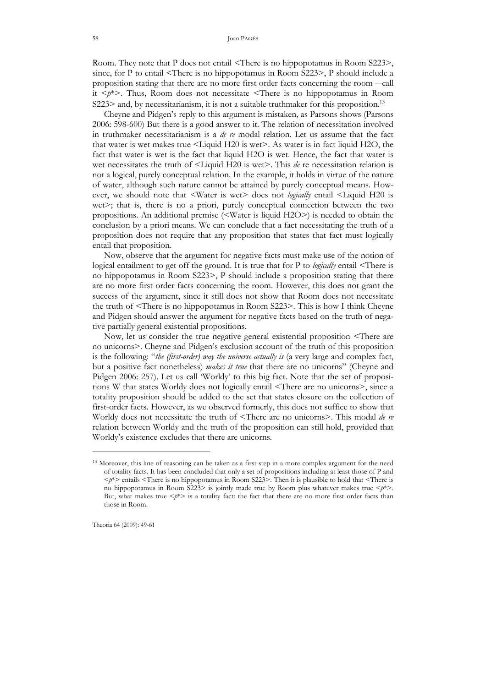Room. They note that P does not entail <There is no hippopotamus in Room S223>, since, for P to entail <There is no hippopotamus in Room S223>, P should include a proposition stating that there are no more first order facts concerning the room ―call it  $\langle p^* \rangle$ . Thus, Room does not necessitate  $\langle$ There is no hippopotamus in Room S223> and, by necessitarianism, it is not a suitable truthmaker for this proposition.<sup>13</sup>

 Cheyne and Pidgen's reply to this argument is mistaken, as Parsons shows (Parsons 2006: 598-600) But there is a good answer to it. The relation of necessitation involved in truthmaker necessitarianism is a  $de$  re modal relation. Let us assume that the fact that water is wet makes true <Liquid H20 is wet>. As water is in fact liquid H2O, the fact that water is wet is the fact that liquid H2O is wet. Hence, the fact that water is wet necessitates the truth of  $\leq$ Liquid H20 is wet $\geq$ . This *de* re necessitation relation is not a logical, purely conceptual relation. In the example, it holds in virtue of the nature of water, although such nature cannot be attained by purely conceptual means. However, we should note that <Water is wet> does not *logically* entail <Liquid H20 is wet>; that is, there is no a priori, purely conceptual connection between the two propositions. An additional premise (<Water is liquid H2O>) is needed to obtain the conclusion by a priori means. We can conclude that a fact necessitating the truth of a proposition does not require that any proposition that states that fact must logically entail that proposition.

 Now, observe that the argument for negative facts must make use of the notion of logical entailment to get off the ground. It is true that for P to *logically* entail <There is no hippopotamus in Room S223>, P should include a proposition stating that there are no more first order facts concerning the room. However, this does not grant the success of the argument, since it still does not show that Room does not necessitate the truth of <There is no hippopotamus in Room S223>. This is how I think Cheyne and Pidgen should answer the argument for negative facts based on the truth of negative partially general existential propositions.

 Now, let us consider the true negative general existential proposition <There are no unicorns>. Cheyne and Pidgen's exclusion account of the truth of this proposition is the following: "*the (first-order) way the universe actually is* (a very large and complex fact, but a positive fact nonetheless) makes it true that there are no unicorns" (Cheyne and Pidgen 2006: 257). Let us call 'Worldy' to this big fact. Note that the set of propositions W that states Worldy does not logically entail <There are no unicorns>, since a totality proposition should be added to the set that states closure on the collection of first-order facts. However, as we observed formerly, this does not suffice to show that Worldy does not necessitate the truth of <There are no unicorns>. This modal de re relation between Worldy and the truth of the proposition can still hold, provided that Worldy's existence excludes that there are unicorns.

<sup>&</sup>lt;sup>13</sup> Moreover, this line of reasoning can be taken as a first step in a more complex argument for the need of totality facts. It has been concluded that only a set of propositions including at least those of P and  $\langle p^* \rangle$  entails  $\langle$ There is no hippopotamus in Room S223>. Then it is plausible to hold that  $\langle$ There is no hippopotamus in Room S223> is jointly made true by Room plus whatever makes true  $\langle p^* \rangle$ . But, what makes true  $\langle p^* \rangle$  is a totality fact: the fact that there are no more first order facts than those in Room.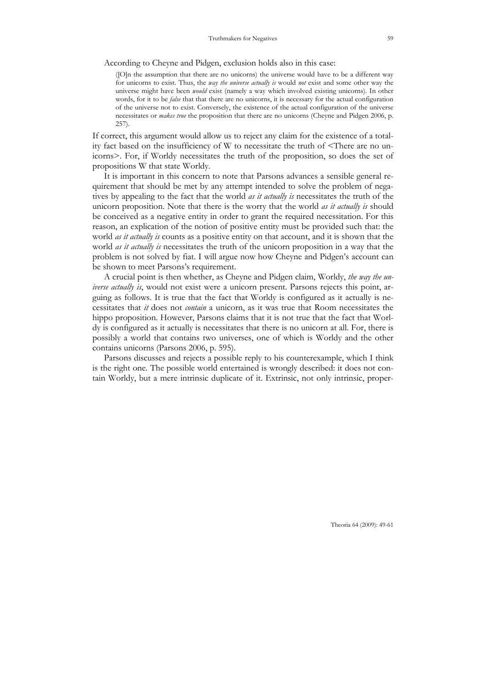According to Cheyne and Pidgen, exclusion holds also in this case:

([O]n the assumption that there are no unicorns) the universe would have to be a different way for unicorns to exist. Thus, the way the universe actually is would not exist and some other way the universe might have been *would* exist (namely a way which involved existing unicorns). In other words, for it to be *false* that that there are no unicorns, it is necessary for the actual configuration of the universe not to exist. Conversely, the existence of the actual configuration of the universe necessitates or makes true the proposition that there are no unicorns (Cheyne and Pidgen 2006, p. 257).

If correct, this argument would allow us to reject any claim for the existence of a totality fact based on the insufficiency of W to necessitate the truth of <There are no unicorns>. For, if Worldy necessitates the truth of the proposition, so does the set of propositions W that state Worldy.

 It is important in this concern to note that Parsons advances a sensible general requirement that should be met by any attempt intended to solve the problem of negatives by appealing to the fact that the world *as it actually is* necessitates the truth of the unicorn proposition. Note that there is the worry that the world as it actually is should be conceived as a negative entity in order to grant the required necessitation. For this reason, an explication of the notion of positive entity must be provided such that: the world *as it actually is* counts as a positive entity on that account, and it is shown that the world *as it actually is* necessitates the truth of the unicorn proposition in a way that the problem is not solved by fiat. I will argue now how Cheyne and Pidgen's account can be shown to meet Parsons's requirement.

 A crucial point is then whether, as Cheyne and Pidgen claim, Worldy, the way the un*iverse actually is*, would not exist were a unicorn present. Parsons rejects this point, arguing as follows. It is true that the fact that Worldy is configured as it actually is necessitates that it does not contain a unicorn, as it was true that Room necessitates the hippo proposition. However, Parsons claims that it is not true that the fact that Worldy is configured as it actually is necessitates that there is no unicorn at all. For, there is possibly a world that contains two universes, one of which is Worldy and the other contains unicorns (Parsons 2006, p. 595).

 Parsons discusses and rejects a possible reply to his counterexample, which I think is the right one. The possible world entertained is wrongly described: it does not contain Worldy, but a mere intrinsic duplicate of it. Extrinsic, not only intrinsic, proper-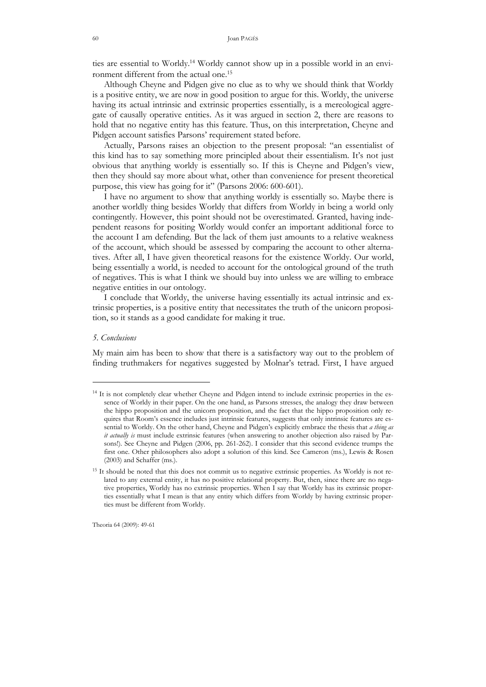ties are essential to Worldy.14 Worldy cannot show up in a possible world in an environment different from the actual one.<sup>15</sup>

 Although Cheyne and Pidgen give no clue as to why we should think that Worldy is a positive entity, we are now in good position to argue for this. Worldy, the universe having its actual intrinsic and extrinsic properties essentially, is a mereological aggregate of causally operative entities. As it was argued in section 2, there are reasons to hold that no negative entity has this feature. Thus, on this interpretation, Cheyne and Pidgen account satisfies Parsons' requirement stated before.

 Actually, Parsons raises an objection to the present proposal: "an essentialist of this kind has to say something more principled about their essentialism. It's not just obvious that anything worldy is essentially so. If this is Cheyne and Pidgen's view, then they should say more about what, other than convenience for present theoretical purpose, this view has going for it" (Parsons 2006: 600-601).

 I have no argument to show that anything worldy is essentially so. Maybe there is another worldly thing besides Worldy that differs from Worldy in being a world only contingently. However, this point should not be overestimated. Granted, having independent reasons for positing Worldy would confer an important additional force to the account I am defending. But the lack of them just amounts to a relative weakness of the account, which should be assessed by comparing the account to other alternatives. After all, I have given theoretical reasons for the existence Worldy. Our world, being essentially a world, is needed to account for the ontological ground of the truth of negatives. This is what I think we should buy into unless we are willing to embrace negative entities in our ontology.

 I conclude that Worldy, the universe having essentially its actual intrinsic and extrinsic properties, is a positive entity that necessitates the truth of the unicorn proposition, so it stands as a good candidate for making it true.

## 5. Conclusions

-

My main aim has been to show that there is a satisfactory way out to the problem of finding truthmakers for negatives suggested by Molnar's tetrad. First, I have argued

<sup>14</sup> It is not completely clear whether Cheyne and Pidgen intend to include extrinsic properties in the essence of Worldy in their paper. On the one hand, as Parsons stresses, the analogy they draw between the hippo proposition and the unicorn proposition, and the fact that the hippo proposition only requires that Room's essence includes just intrinsic features, suggests that only intrinsic features are essential to Worldy. On the other hand, Cheyne and Pidgen's explicitly embrace the thesis that  $a$  thing as it actually is must include extrinsic features (when answering to another objection also raised by Parsons!). See Cheyne and Pidgen (2006, pp. 261-262). I consider that this second evidence trumps the first one. Other philosophers also adopt a solution of this kind. See Cameron (ms.), Lewis & Rosen (2003) and Schaffer (ms.).

<sup>&</sup>lt;sup>15</sup> It should be noted that this does not commit us to negative extrinsic properties. As Worldy is not related to any external entity, it has no positive relational property. But, then, since there are no negative properties, Worldy has no extrinsic properties. When I say that Worldy has its extrinsic properties essentially what I mean is that any entity which differs from Worldy by having extrinsic properties must be different from Worldy.